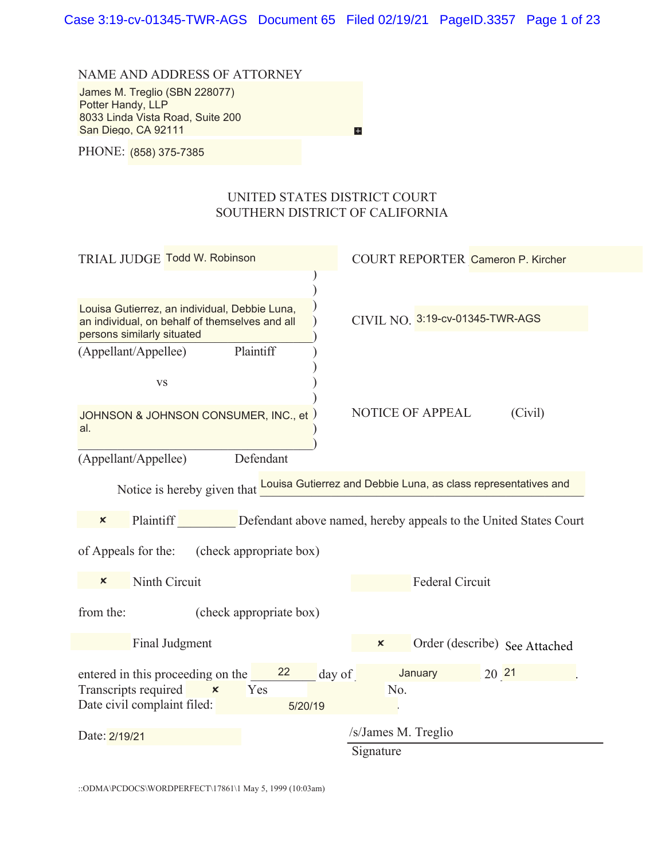NAME AND ADDRESS OF ATTORNEY

James M. Treglio (SBN 228077) BBBBBBBBBBBBBBBBBBBBBBBBBBBBBBBBBB Potter Handy, LLP 8033 Linda Vista Road, Suite 200 San Diego, CA 92111

 $\overline{H}$ 

8 BHONE: <mark>(858) 375-7385</mark>

#### UNITED STATES DISTRICT COURT SOUTHERN DISTRICT OF CALIFORNIA

| TRIAL JUDGE Todd W. Robinson                                                                                                                 | <b>COURT REPORTER Cameron P. Kircher</b>                                                          |  |  |  |
|----------------------------------------------------------------------------------------------------------------------------------------------|---------------------------------------------------------------------------------------------------|--|--|--|
|                                                                                                                                              |                                                                                                   |  |  |  |
| Louisa Gutierrez, an individual, Debbie Luna,<br>an individual, on behalf of themselves and all<br>persons similarly situated                | CIVIL NO. 3:19-cv-01345-TWR-AGS                                                                   |  |  |  |
| Plaintiff<br>(Appellant/Appellee)<br><b>VS</b>                                                                                               |                                                                                                   |  |  |  |
| JOHNSON & JOHNSON CONSUMER, INC., et<br>al.                                                                                                  | NOTICE OF APPEAL<br>(Civil)                                                                       |  |  |  |
| Defendant<br>(Appellant/Appellee)                                                                                                            |                                                                                                   |  |  |  |
|                                                                                                                                              | Notice is hereby given that <b>Louisa Gutierrez and Debbie Luna, as class representatives and</b> |  |  |  |
| Plaintiff<br>$\boldsymbol{\mathsf{x}}$                                                                                                       | Defendant above named, hereby appeals to the United States Court                                  |  |  |  |
| of Appeals for the:<br>(check appropriate box)                                                                                               |                                                                                                   |  |  |  |
| Ninth Circuit<br>$\boldsymbol{\mathsf{x}}$                                                                                                   | <b>Federal Circuit</b>                                                                            |  |  |  |
| from the:<br>(check appropriate box)                                                                                                         |                                                                                                   |  |  |  |
| Final Judgment                                                                                                                               | Order (describe) See Attached<br>$\boldsymbol{\mathsf{x}}$                                        |  |  |  |
| 22<br>entered in this proceeding on the<br>day of<br>Transcripts required<br>$\pmb{\times}$<br>Yes<br>Date civil complaint filed:<br>5/20/19 | January<br>20 21<br>No.                                                                           |  |  |  |
| Date: 2/19/21                                                                                                                                | /s/James M. Treglio                                                                               |  |  |  |
|                                                                                                                                              | Signature                                                                                         |  |  |  |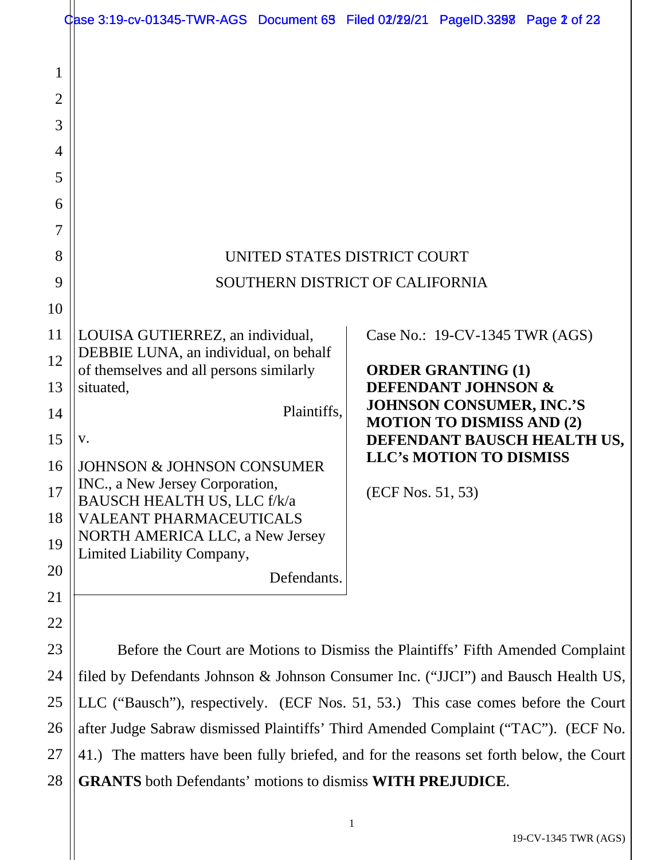|                                                                                 | Case 3:19-cv-01345-TWR-AGS Document 69 Filed 02/29/21 PageID.3298 Page 2 of 22                                                                                                                                                                              |                                                                                                                                                                                             |  |  |  |
|---------------------------------------------------------------------------------|-------------------------------------------------------------------------------------------------------------------------------------------------------------------------------------------------------------------------------------------------------------|---------------------------------------------------------------------------------------------------------------------------------------------------------------------------------------------|--|--|--|
| 1<br>$\overline{2}$<br>3<br>$\overline{4}$<br>5<br>6<br>7<br>8<br>9<br>10<br>11 | UNITED STATES DISTRICT COURT<br>LOUISA GUTIERREZ, an individual,<br>DEBBIE LUNA, an individual, on behalf                                                                                                                                                   | SOUTHERN DISTRICT OF CALIFORNIA<br>Case No.: 19-CV-1345 TWR (AGS)                                                                                                                           |  |  |  |
| 12                                                                              | of themselves and all persons similarly                                                                                                                                                                                                                     | <b>ORDER GRANTING (1)</b>                                                                                                                                                                   |  |  |  |
| 13<br>14<br>15<br>16<br>17<br>18<br>19<br>20<br>21                              | situated,<br>Plaintiffs,<br>V.<br><b>JOHNSON &amp; JOHNSON CONSUMER</b><br>INC., a New Jersey Corporation,<br>BAUSCH HEALTH US, LLC f/k/a<br><b>VALEANT PHARMACEUTICALS</b><br>NORTH AMERICA LLC, a New Jersey<br>Limited Liability Company,<br>Defendants. | <b>DEFENDANT JOHNSON &amp;</b><br><b>JOHNSON CONSUMER, INC.'S</b><br><b>MOTION TO DISMISS AND (2)</b><br>DEFENDANT BAUSCH HEALTH US,<br><b>LLC's MOTION TO DISMISS</b><br>(ECF Nos. 51, 53) |  |  |  |
| 22                                                                              |                                                                                                                                                                                                                                                             |                                                                                                                                                                                             |  |  |  |
| 23                                                                              | Before the Court are Motions to Dismiss the Plaintiffs' Fifth Amended Complaint                                                                                                                                                                             |                                                                                                                                                                                             |  |  |  |
| 24                                                                              | filed by Defendants Johnson & Johnson Consumer Inc. ("JJCI") and Bausch Health US,                                                                                                                                                                          |                                                                                                                                                                                             |  |  |  |
| 25                                                                              |                                                                                                                                                                                                                                                             | LLC ("Bausch"), respectively. (ECF Nos. 51, 53.) This case comes before the Court                                                                                                           |  |  |  |
| 26                                                                              |                                                                                                                                                                                                                                                             | after Judge Sabraw dismissed Plaintiffs' Third Amended Complaint ("TAC"). (ECF No.                                                                                                          |  |  |  |
| 27                                                                              | 41.) The matters have been fully briefed, and for the reasons set forth below, the Court                                                                                                                                                                    |                                                                                                                                                                                             |  |  |  |
| 28                                                                              | <b>GRANTS</b> both Defendants' motions to dismiss WITH PREJUDICE.                                                                                                                                                                                           |                                                                                                                                                                                             |  |  |  |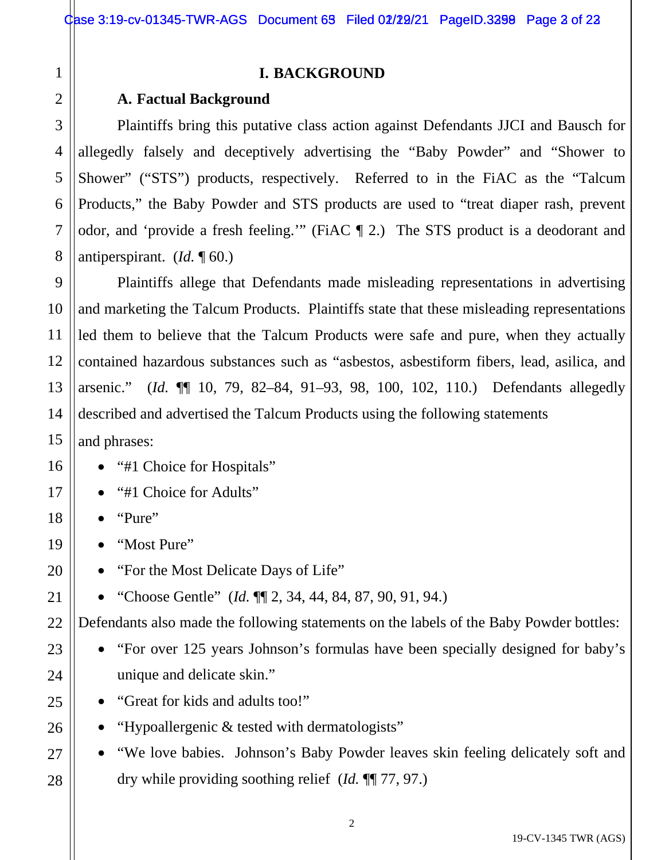26

27

28

# **I. BACKGROUND**

## **A. Factual Background**

Plaintiffs bring this putative class action against Defendants JJCI and Bausch for allegedly falsely and deceptively advertising the "Baby Powder" and "Shower to Shower" ("STS") products, respectively. Referred to in the FiAC as the "Talcum Products," the Baby Powder and STS products are used to "treat diaper rash, prevent odor, and 'provide a fresh feeling.'" (FiAC ¶ 2.) The STS product is a deodorant and antiperspirant. (*Id.* ¶ 60.)

Plaintiffs allege that Defendants made misleading representations in advertising and marketing the Talcum Products. Plaintiffs state that these misleading representations led them to believe that the Talcum Products were safe and pure, when they actually contained hazardous substances such as "asbestos, asbestiform fibers, lead, asilica, and arsenic." (*Id.* ¶¶ 10, 79, 82–84, 91–93, 98, 100, 102, 110.) Defendants allegedly described and advertised the Talcum Products using the following statements

and phrases:

- "#1 Choice for Hospitals"
- "#1 Choice for Adults"
- "Pure"
- "Most Pure"
- "For the Most Delicate Days of Life"
- "Choose Gentle" (*Id.* ¶¶ 2, 34, 44, 84, 87, 90, 91, 94.)

Defendants also made the following statements on the labels of the Baby Powder bottles:

- "For over 125 years Johnson's formulas have been specially designed for baby's unique and delicate skin."
- "Great for kids and adults too!"

• "Hypoallergenic & tested with dermatologists"

• "We love babies. Johnson's Baby Powder leaves skin feeling delicately soft and dry while providing soothing relief (*Id.* ¶¶ 77, 97.)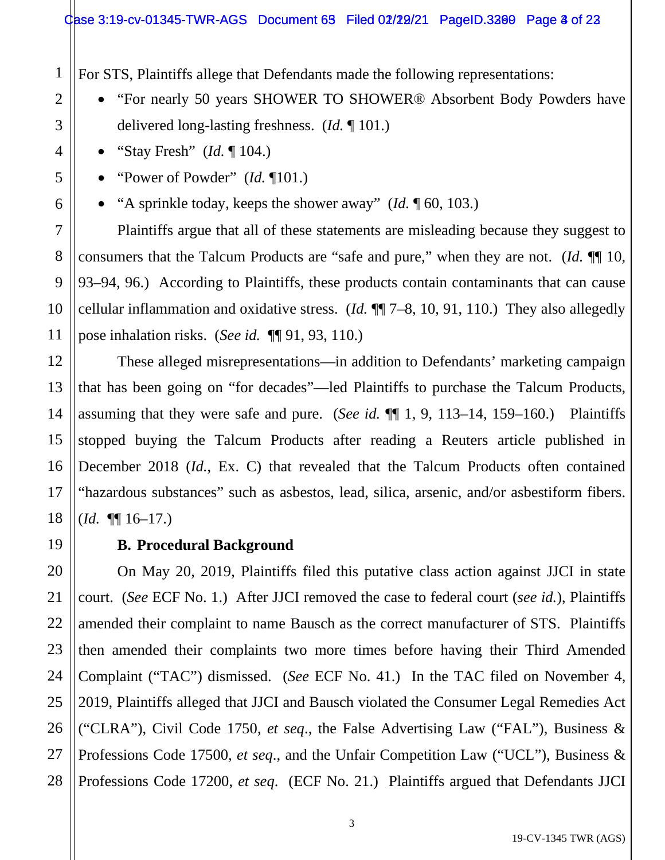#### $\text{Case } 3:19$ -cv-01345-TWR-AGS Document 63 Filed 02/22/21 PageID.3200 Page 3 of 22

For STS, Plaintiffs allege that Defendants made the following representations:

- "For nearly 50 years SHOWER TO SHOWER® Absorbent Body Powders have delivered long-lasting freshness. (*Id.* ¶ 101.)
- "Stay Fresh" (*Id.* ¶ 104.)
- "Power of Powder" (*Id.* ¶101.)
- "A sprinkle today, keeps the shower away" (*Id.* ¶ 60, 103.)

Plaintiffs argue that all of these statements are misleading because they suggest to consumers that the Talcum Products are "safe and pure," when they are not. (*Id.* ¶¶ 10, 93–94, 96.) According to Plaintiffs, these products contain contaminants that can cause cellular inflammation and oxidative stress. (*Id.* ¶¶ 7–8, 10, 91, 110.) They also allegedly pose inhalation risks. (*See id.* ¶¶ 91, 93, 110.)

These alleged misrepresentations—in addition to Defendants' marketing campaign that has been going on "for decades"—led Plaintiffs to purchase the Talcum Products, assuming that they were safe and pure. (*See id.* ¶¶ 1, 9, 113–14, 159–160.) Plaintiffs stopped buying the Talcum Products after reading a Reuters article published in December 2018 (*Id.*, Ex. C) that revealed that the Talcum Products often contained "hazardous substances" such as asbestos, lead, silica, arsenic, and/or asbestiform fibers. (*Id.* ¶¶ 16–17.)

## **B. Procedural Background**

On May 20, 2019, Plaintiffs filed this putative class action against JJCI in state court. (*See* ECF No. 1.) After JJCI removed the case to federal court (*see id.*), Plaintiffs amended their complaint to name Bausch as the correct manufacturer of STS. Plaintiffs then amended their complaints two more times before having their Third Amended Complaint ("TAC") dismissed. (*See* ECF No. 41.) In the TAC filed on November 4, 2019, Plaintiffs alleged that JJCI and Bausch violated the Consumer Legal Remedies Act ("CLRA"), Civil Code 1750, *et seq*., the False Advertising Law ("FAL"), Business & Professions Code 17500, *et seq*., and the Unfair Competition Law ("UCL"), Business & Professions Code 17200, *et seq*. (ECF No. 21.) Plaintiffs argued that Defendants JJCI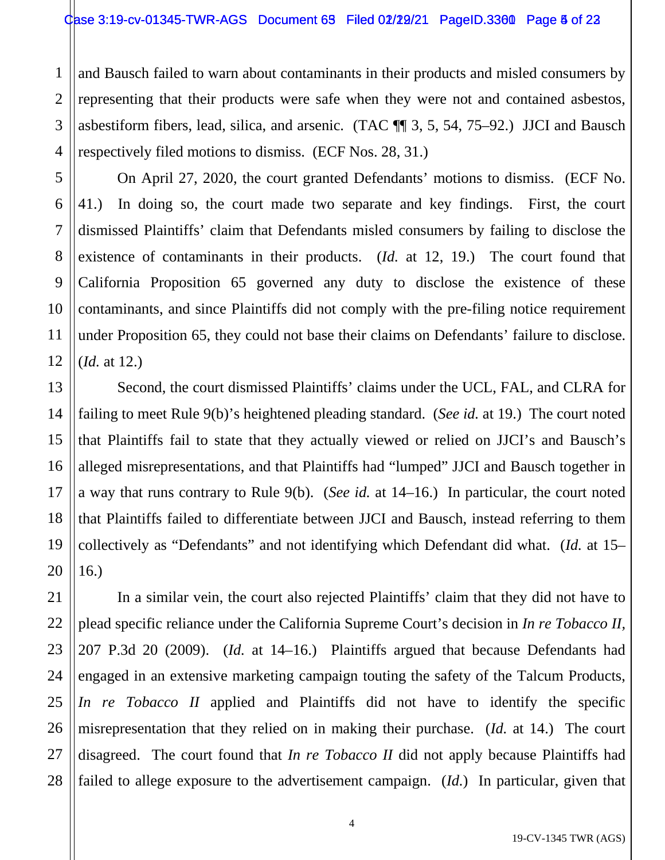1 2 3 4 and Bausch failed to warn about contaminants in their products and misled consumers by representing that their products were safe when they were not and contained asbestos, asbestiform fibers, lead, silica, and arsenic. (TAC ¶¶ 3, 5, 54, 75–92.) JJCI and Bausch respectively filed motions to dismiss. (ECF Nos. 28, 31.)

5

6

7

8

9

10

11

12

21

22

23

27

On April 27, 2020, the court granted Defendants' motions to dismiss. (ECF No. 41.) In doing so, the court made two separate and key findings. First, the court dismissed Plaintiffs' claim that Defendants misled consumers by failing to disclose the existence of contaminants in their products. (*Id.* at 12, 19.) The court found that California Proposition 65 governed any duty to disclose the existence of these contaminants, and since Plaintiffs did not comply with the pre-filing notice requirement under Proposition 65, they could not base their claims on Defendants' failure to disclose. (*Id.* at 12.)

13 14 15 16 17 18 19 20 Second, the court dismissed Plaintiffs' claims under the UCL, FAL, and CLRA for failing to meet Rule 9(b)'s heightened pleading standard. (*See id.* at 19.) The court noted that Plaintiffs fail to state that they actually viewed or relied on JJCI's and Bausch's alleged misrepresentations, and that Plaintiffs had "lumped" JJCI and Bausch together in a way that runs contrary to Rule 9(b). (*See id.* at 14–16.) In particular, the court noted that Plaintiffs failed to differentiate between JJCI and Bausch, instead referring to them collectively as "Defendants" and not identifying which Defendant did what. (*Id.* at 15– 16.)

24 25 26 28 In a similar vein, the court also rejected Plaintiffs' claim that they did not have to plead specific reliance under the California Supreme Court's decision in *In re Tobacco II,* 207 P.3d 20 (2009). (*Id.* at 14–16.) Plaintiffs argued that because Defendants had engaged in an extensive marketing campaign touting the safety of the Talcum Products, *In re Tobacco II* applied and Plaintiffs did not have to identify the specific misrepresentation that they relied on in making their purchase. (*Id.* at 14.) The court disagreed. The court found that *In re Tobacco II* did not apply because Plaintiffs had failed to allege exposure to the advertisement campaign. (*Id.*) In particular, given that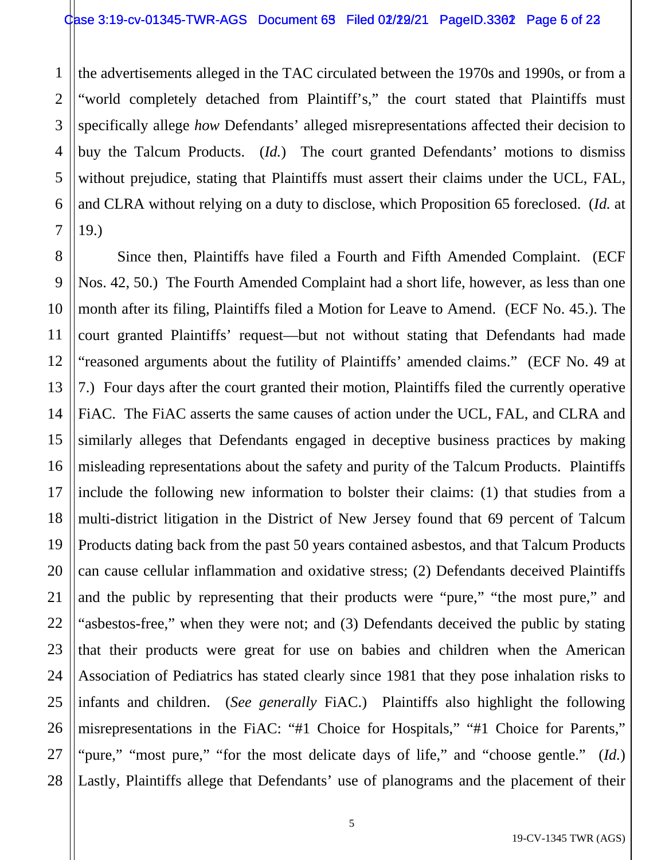1

2

3

5

7

4 6 the advertisements alleged in the TAC circulated between the 1970s and 1990s, or from a "world completely detached from Plaintiff's," the court stated that Plaintiffs must specifically allege *how* Defendants' alleged misrepresentations affected their decision to buy the Talcum Products. (*Id.*) The court granted Defendants' motions to dismiss without prejudice, stating that Plaintiffs must assert their claims under the UCL, FAL, and CLRA without relying on a duty to disclose, which Proposition 65 foreclosed. (*Id.* at 19.)

8 9 10 11 12 13 14 15 16 17 18 19 20 21 22 23 24 25 26 27 28 Since then, Plaintiffs have filed a Fourth and Fifth Amended Complaint. (ECF Nos. 42, 50.) The Fourth Amended Complaint had a short life, however, as less than one month after its filing, Plaintiffs filed a Motion for Leave to Amend. (ECF No. 45.). The court granted Plaintiffs' request—but not without stating that Defendants had made "reasoned arguments about the futility of Plaintiffs' amended claims." (ECF No. 49 at 7.) Four days after the court granted their motion, Plaintiffs filed the currently operative FiAC. The FiAC asserts the same causes of action under the UCL, FAL, and CLRA and similarly alleges that Defendants engaged in deceptive business practices by making misleading representations about the safety and purity of the Talcum Products. Plaintiffs include the following new information to bolster their claims: (1) that studies from a multi-district litigation in the District of New Jersey found that 69 percent of Talcum Products dating back from the past 50 years contained asbestos, and that Talcum Products can cause cellular inflammation and oxidative stress; (2) Defendants deceived Plaintiffs and the public by representing that their products were "pure," "the most pure," and "asbestos-free," when they were not; and (3) Defendants deceived the public by stating that their products were great for use on babies and children when the American Association of Pediatrics has stated clearly since 1981 that they pose inhalation risks to infants and children. (*See generally* FiAC.) Plaintiffs also highlight the following misrepresentations in the FiAC: "#1 Choice for Hospitals," "#1 Choice for Parents," "pure," "most pure," "for the most delicate days of life," and "choose gentle." (*Id.*) Lastly, Plaintiffs allege that Defendants' use of planograms and the placement of their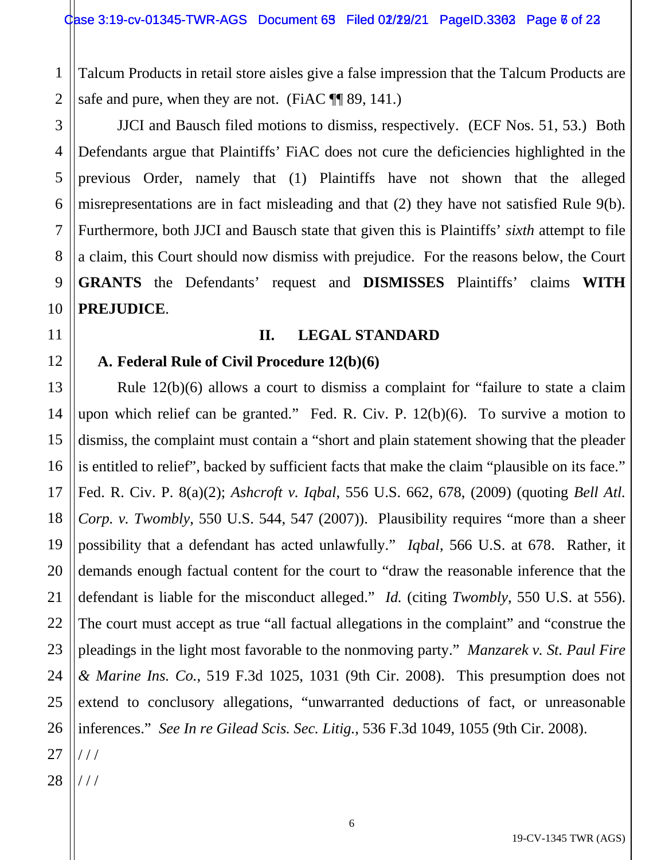1 2 Talcum Products in retail store aisles give a false impression that the Talcum Products are safe and pure, when they are not. (FiAC  $\P$  89, 141.)

JJCI and Bausch filed motions to dismiss, respectively. (ECF Nos. 51, 53.) Both Defendants argue that Plaintiffs' FiAC does not cure the deficiencies highlighted in the previous Order, namely that (1) Plaintiffs have not shown that the alleged misrepresentations are in fact misleading and that (2) they have not satisfied Rule 9(b). Furthermore, both JJCI and Bausch state that given this is Plaintiffs' *sixth* attempt to file a claim, this Court should now dismiss with prejudice. For the reasons below, the Court **GRANTS** the Defendants' request and **DISMISSES** Plaintiffs' claims **WITH PREJUDICE**.

## **II. LEGAL STANDARD**

## **A. Federal Rule of Civil Procedure 12(b)(6)**

Rule 12(b)(6) allows a court to dismiss a complaint for "failure to state a claim upon which relief can be granted." Fed. R. Civ. P. 12(b)(6). To survive a motion to dismiss, the complaint must contain a "short and plain statement showing that the pleader is entitled to relief", backed by sufficient facts that make the claim "plausible on its face." Fed. R. Civ. P. 8(a)(2); *Ashcroft v. Iqbal*, 556 U.S. 662, 678, (2009) (quoting *Bell Atl. Corp. v. Twombly*, 550 U.S. 544, 547 (2007)). Plausibility requires "more than a sheer possibility that a defendant has acted unlawfully." *Iqbal*, 566 U.S. at 678. Rather, it demands enough factual content for the court to "draw the reasonable inference that the defendant is liable for the misconduct alleged." *Id.* (citing *Twombly*, 550 U.S. at 556). The court must accept as true "all factual allegations in the complaint" and "construe the pleadings in the light most favorable to the nonmoving party." *Manzarek v. St. Paul Fire & Marine Ins. Co.*, 519 F.3d 1025, 1031 (9th Cir. 2008). This presumption does not extend to conclusory allegations, "unwarranted deductions of fact, or unreasonable inferences." *See In re Gilead Scis. Sec. Litig.*, 536 F.3d 1049, 1055 (9th Cir. 2008). / / /

28 / / /

3

4

5

6

7

8

9

10

11

12

13

14

15

16

17

18

19

20

21

22

23

24

25

26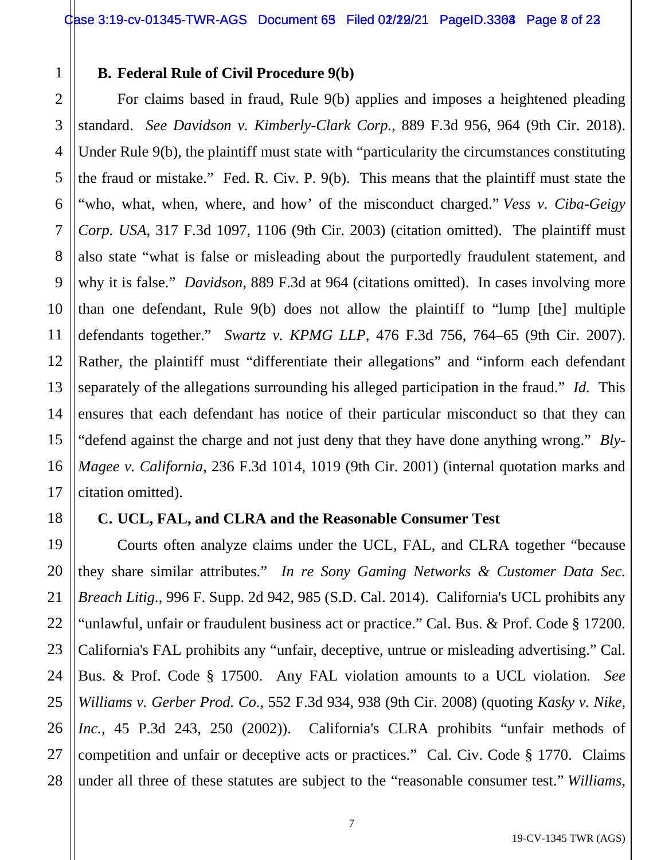## **B. Federal Rule of Civil Procedure 9(b)**

1

2

3

5

7

8

9

10

11

12

13

14

15

16

17

18

21

22

23

27

4 6 For claims based in fraud, Rule 9(b) applies and imposes a heightened pleading standard. *See Davidson v. Kimberly-Clark Corp.*, 889 F.3d 956, 964 (9th Cir. 2018). Under Rule 9(b), the plaintiff must state with "particularity the circumstances constituting the fraud or mistake." Fed. R. Civ. P. 9(b). This means that the plaintiff must state the "who, what, when, where, and how' of the misconduct charged." *Vess v. Ciba-Geigy Corp. USA*, 317 F.3d 1097, 1106 (9th Cir. 2003) (citation omitted). The plaintiff must also state "what is false or misleading about the purportedly fraudulent statement, and why it is false." *Davidson*, 889 F.3d at 964 (citations omitted). In cases involving more than one defendant, Rule 9(b) does not allow the plaintiff to "lump [the] multiple defendants together." *Swartz v. KPMG LLP*, 476 F.3d 756, 764–65 (9th Cir. 2007). Rather, the plaintiff must "differentiate their allegations" and "inform each defendant separately of the allegations surrounding his alleged participation in the fraud." *Id.* This ensures that each defendant has notice of their particular misconduct so that they can "defend against the charge and not just deny that they have done anything wrong." *Bly-Magee v. California*, 236 F.3d 1014, 1019 (9th Cir. 2001) (internal quotation marks and citation omitted).

## **C. UCL, FAL, and CLRA and the Reasonable Consumer Test**

19 20 24 25 26 28 Courts often analyze claims under the UCL, FAL, and CLRA together "because they share similar attributes." *In re Sony Gaming Networks & Customer Data Sec. Breach Litig.*, 996 F. Supp. 2d 942, 985 (S.D. Cal. 2014). California's UCL prohibits any "unlawful, unfair or fraudulent business act or practice." Cal. Bus. & Prof. Code § 17200. California's FAL prohibits any "unfair, deceptive, untrue or misleading advertising." Cal. Bus. & Prof. Code § 17500. Any FAL violation amounts to a UCL violation*. See Williams v. Gerber Prod. Co.*, 552 F.3d 934, 938 (9th Cir. 2008) (quoting *Kasky v. Nike, Inc.*, 45 P.3d 243, 250 (2002)). California's CLRA prohibits "unfair methods of competition and unfair or deceptive acts or practices." Cal. Civ. Code § 1770. Claims under all three of these statutes are subject to the "reasonable consumer test." *Williams*,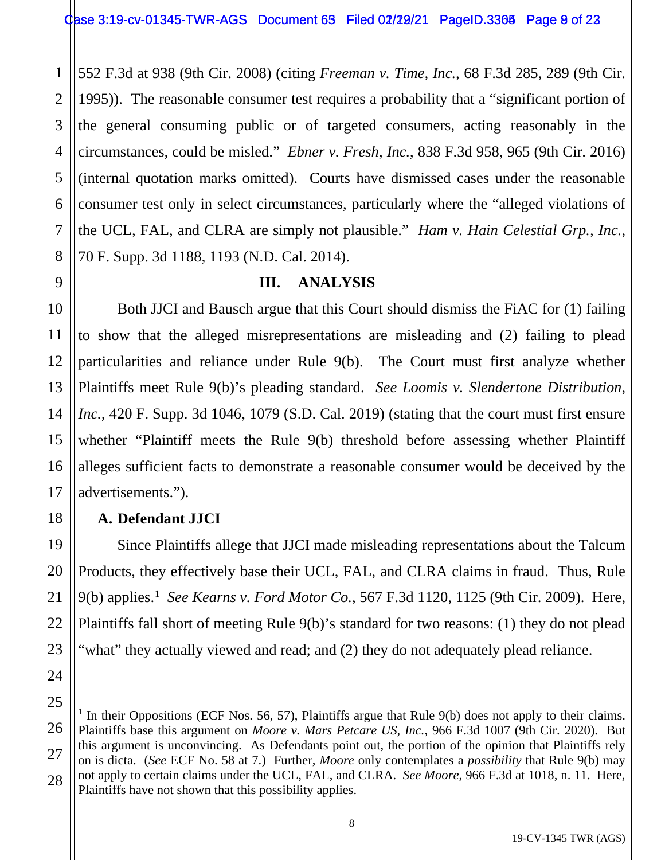1 2 3 4 5 6 7 8 552 F.3d at 938 (9th Cir. 2008) (citing *Freeman v. Time, Inc.*, 68 F.3d 285, 289 (9th Cir. 1995)). The reasonable consumer test requires a probability that a "significant portion of the general consuming public or of targeted consumers, acting reasonably in the circumstances, could be misled." *Ebner v. Fresh, Inc.*, 838 F.3d 958, 965 (9th Cir. 2016) (internal quotation marks omitted). Courts have dismissed cases under the reasonable consumer test only in select circumstances, particularly where the "alleged violations of the UCL, FAL, and CLRA are simply not plausible." *Ham v. Hain Celestial Grp., Inc.*, 70 F. Supp. 3d 1188, 1193 (N.D. Cal. 2014).

# **III. ANALYSIS**

Both JJCI and Bausch argue that this Court should dismiss the FiAC for (1) failing to show that the alleged misrepresentations are misleading and (2) failing to plead particularities and reliance under Rule 9(b). The Court must first analyze whether Plaintiffs meet Rule 9(b)'s pleading standard. *See Loomis v. Slendertone Distribution, Inc.*, 420 F. Supp. 3d 1046, 1079 (S.D. Cal. 2019) (stating that the court must first ensure whether "Plaintiff meets the Rule 9(b) threshold before assessing whether Plaintiff alleges sufficient facts to demonstrate a reasonable consumer would be deceived by the advertisements.").

# **A. Defendant JJCI**

9

10

11

12

13

14

15

16

17

18

19

20

21

22

23

24

Since Plaintiffs allege that JJCI made misleading representations about the Talcum Products, they effectively base their UCL, FAL, and CLRA claims in fraud. Thus, Rule 9(b) applies.1 *See Kearns v. Ford Motor Co.*, 567 F.3d 1120, 1125 (9th Cir. 2009). Here, Plaintiffs fall short of meeting Rule 9(b)'s standard for two reasons: (1) they do not plead "what" they actually viewed and read; and (2) they do not adequately plead reliance.

<sup>25</sup> 26 27 28 <sup>1</sup> In their Oppositions (ECF Nos. 56, 57), Plaintiffs argue that Rule 9(b) does not apply to their claims. Plaintiffs base this argument on *Moore v. Mars Petcare US, Inc.*, 966 F.3d 1007 (9th Cir. 2020). But this argument is unconvincing. As Defendants point out, the portion of the opinion that Plaintiffs rely on is dicta. (*See* ECF No. 58 at 7.) Further, *Moore* only contemplates a *possibility* that Rule 9(b) may not apply to certain claims under the UCL, FAL, and CLRA. *See Moore*, 966 F.3d at 1018, n. 11. Here, Plaintiffs have not shown that this possibility applies.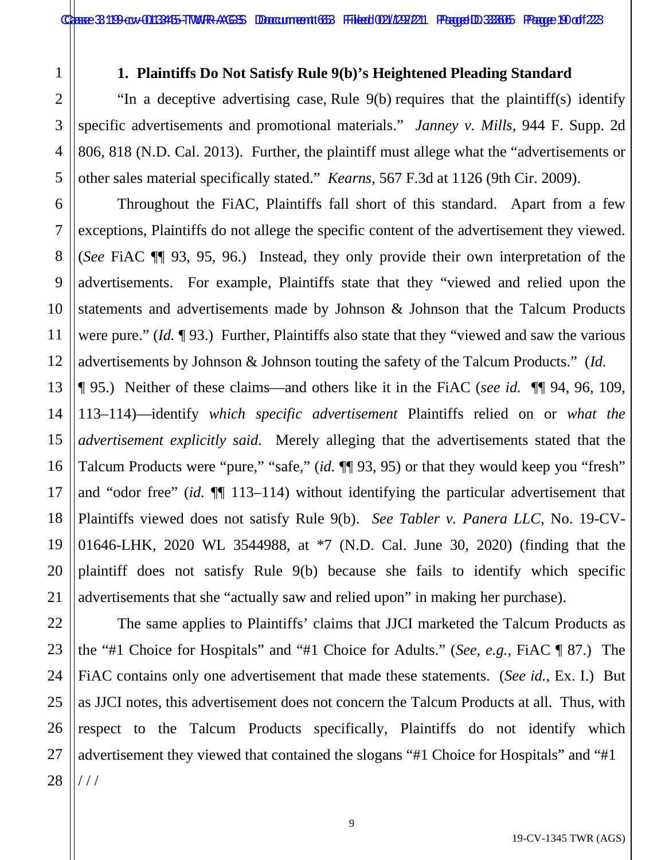1

2

3

4

5

6

7

8

9

10

11

12

23

27

### **1. Plaintiffs Do Not Satisfy Rule 9(b)'s Heightened Pleading Standard**

"In a deceptive advertising case, Rule 9(b) requires that the plaintiff(s) identify specific advertisements and promotional materials." *Janney v. Mills*, 944 F. Supp. 2d 806, 818 (N.D. Cal. 2013). Further, the plaintiff must allege what the "advertisements or other sales material specifically stated." *Kearns,* 567 F.3d at 1126 (9th Cir. 2009).

Throughout the FiAC, Plaintiffs fall short of this standard. Apart from a few exceptions, Plaintiffs do not allege the specific content of the advertisement they viewed. (*See* FiAC ¶¶ 93, 95, 96.) Instead, they only provide their own interpretation of the advertisements. For example, Plaintiffs state that they "viewed and relied upon the statements and advertisements made by Johnson & Johnson that the Talcum Products were pure." (*Id.* ¶ 93.) Further, Plaintiffs also state that they "viewed and saw the various advertisements by Johnson & Johnson touting the safety of the Talcum Products." (*Id.*

13 14 15 16 17 18 19 20 21 ¶ 95.) Neither of these claims—and others like it in the FiAC (*see id.* ¶¶ 94, 96, 109, 113–114)—identify *which specific advertisement* Plaintiffs relied on or *what the advertisement explicitly said*. Merely alleging that the advertisements stated that the Talcum Products were "pure," "safe," (*id.* ¶¶ 93, 95) or that they would keep you "fresh" and "odor free" (*id.* ¶¶ 113–114) without identifying the particular advertisement that Plaintiffs viewed does not satisfy Rule 9(b). *See Tabler v. Panera LLC*, No. 19-CV-01646-LHK, 2020 WL 3544988, at \*7 (N.D. Cal. June 30, 2020) (finding that the plaintiff does not satisfy Rule 9(b) because she fails to identify which specific advertisements that she "actually saw and relied upon" in making her purchase).

22 24 25 26 28 The same applies to Plaintiffs' claims that JJCI marketed the Talcum Products as the "#1 Choice for Hospitals" and "#1 Choice for Adults." (*See, e.g.*, FiAC ¶ 87.) The FiAC contains only one advertisement that made these statements. (*See id.*, Ex. I.) But as JJCI notes, this advertisement does not concern the Talcum Products at all. Thus, with respect to the Talcum Products specifically, Plaintiffs do not identify which advertisement they viewed that contained the slogans "#1 Choice for Hospitals" and "#1 / / /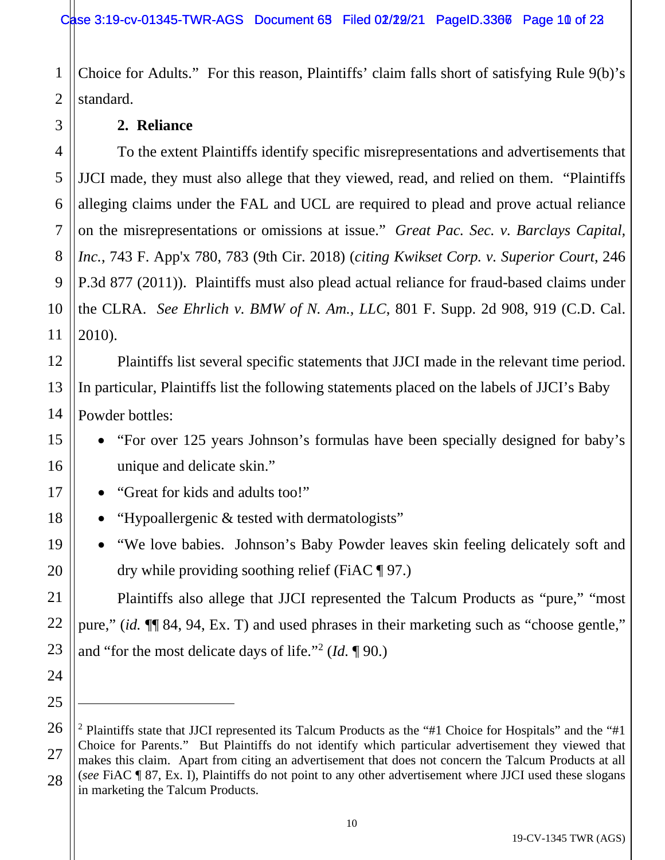1 2 Choice for Adults." For this reason, Plaintiffs' claim falls short of satisfying Rule 9(b)'s standard.

## **2. Reliance**

3

5

7

8

9

11

12

13

14

15

16

17

18

19

20

21

22

23

24

25

4 6 10 To the extent Plaintiffs identify specific misrepresentations and advertisements that JJCI made, they must also allege that they viewed, read, and relied on them. "Plaintiffs alleging claims under the FAL and UCL are required to plead and prove actual reliance on the misrepresentations or omissions at issue." *Great Pac. Sec. v. Barclays Capital, Inc.*, 743 F. App'x 780, 783 (9th Cir. 2018) (*citing Kwikset Corp. v. Superior Court*, 246 P.3d 877 (2011)). Plaintiffs must also plead actual reliance for fraud-based claims under the CLRA. *See Ehrlich v. BMW of N. Am., LLC*, 801 F. Supp. 2d 908, 919 (C.D. Cal. 2010).

Plaintiffs list several specific statements that JJCI made in the relevant time period. In particular, Plaintiffs list the following statements placed on the labels of JJCI's Baby Powder bottles:

- "For over 125 years Johnson's formulas have been specially designed for baby's unique and delicate skin."
- "Great for kids and adults too!"
- "Hypoallergenic & tested with dermatologists"
- "We love babies. Johnson's Baby Powder leaves skin feeling delicately soft and dry while providing soothing relief (FiAC  $\P$  97.)

Plaintiffs also allege that JJCI represented the Talcum Products as "pure," "most pure," (*id.* ¶¶ 84, 94, Ex. T) and used phrases in their marketing such as "choose gentle," and "for the most delicate days of life."2 (*Id.* ¶ 90.)

<sup>26</sup> 27 28 <sup>2</sup> Plaintiffs state that JJCI represented its Talcum Products as the "#1 Choice for Hospitals" and the "#1 Choice for Parents." But Plaintiffs do not identify which particular advertisement they viewed that makes this claim. Apart from citing an advertisement that does not concern the Talcum Products at all (*see* FiAC ¶ 87, Ex. I), Plaintiffs do not point to any other advertisement where JJCI used these slogans in marketing the Talcum Products.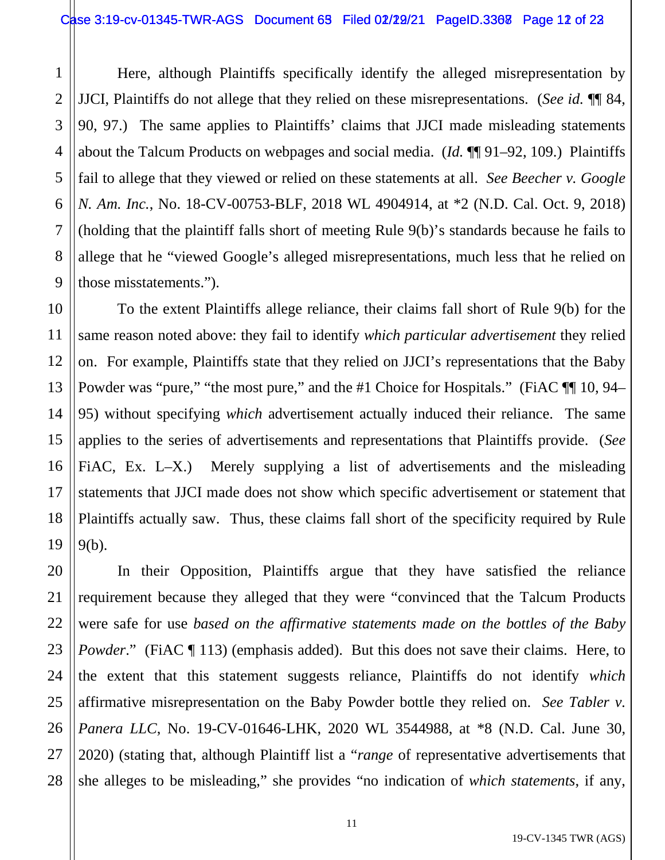1

2

3

5

7

8

9

10

11

12

13

14

15

16

17

18

19

4 6 Here, although Plaintiffs specifically identify the alleged misrepresentation by JJCI, Plaintiffs do not allege that they relied on these misrepresentations. (*See id.* ¶¶ 84, 90, 97.) The same applies to Plaintiffs' claims that JJCI made misleading statements about the Talcum Products on webpages and social media. (*Id.* ¶¶ 91–92, 109.) Plaintiffs fail to allege that they viewed or relied on these statements at all. *See Beecher v. Google N. Am. Inc.*, No. 18-CV-00753-BLF, 2018 WL 4904914, at \*2 (N.D. Cal. Oct. 9, 2018) (holding that the plaintiff falls short of meeting Rule 9(b)'s standards because he fails to allege that he "viewed Google's alleged misrepresentations, much less that he relied on those misstatements.").

To the extent Plaintiffs allege reliance, their claims fall short of Rule 9(b) for the same reason noted above: they fail to identify *which particular advertisement* they relied on. For example, Plaintiffs state that they relied on JJCI's representations that the Baby Powder was "pure," "the most pure," and the #1 Choice for Hospitals." (FiAC  $\P$  10, 94– 95) without specifying *which* advertisement actually induced their reliance. The same applies to the series of advertisements and representations that Plaintiffs provide. (*See*  FIAC, Ex. L–X.) Merely supplying a list of advertisements and the misleading statements that JJCI made does not show which specific advertisement or statement that Plaintiffs actually saw. Thus, these claims fall short of the specificity required by Rule 9(b).

20 21 22 23 24 25 26 27 28 In their Opposition, Plaintiffs argue that they have satisfied the reliance requirement because they alleged that they were "convinced that the Talcum Products were safe for use *based on the affirmative statements made on the bottles of the Baby Powder*." (FiAC ¶ 113) (emphasis added). But this does not save their claims. Here, to the extent that this statement suggests reliance, Plaintiffs do not identify *which* affirmative misrepresentation on the Baby Powder bottle they relied on. *See Tabler v. Panera LLC*, No. 19-CV-01646-LHK, 2020 WL 3544988, at \*8 (N.D. Cal. June 30, 2020) (stating that, although Plaintiff list a "*range* of representative advertisements that she alleges to be misleading," she provides "no indication of *which statements*, if any,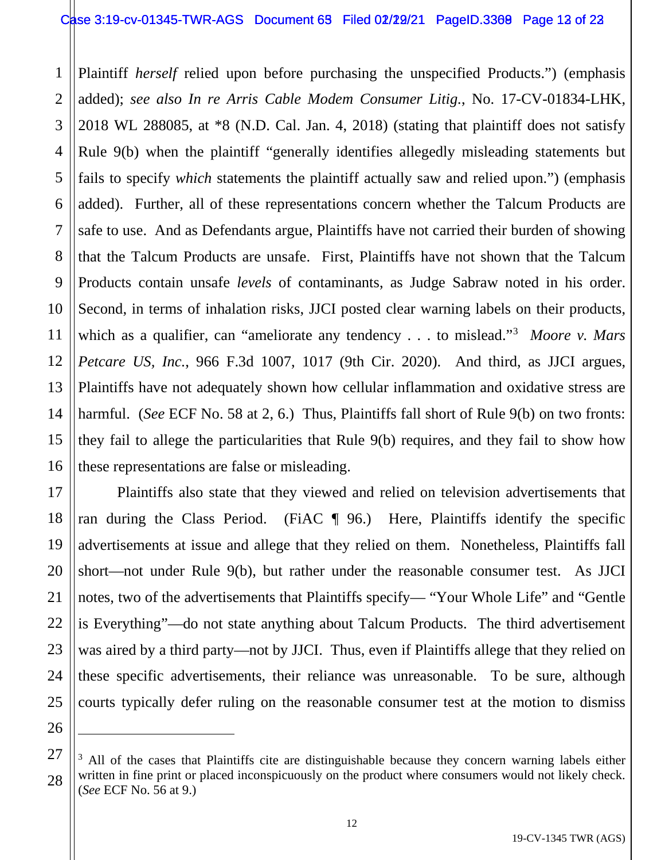#### Case 3:19-cv-01345-TWR-AGS Document 63 Filed 02/22/21 PageID.3369 Page 12 of 22

1 2 3 4 5 6 7 8 9 10 11 12 13 14 15 16 Plaintiff *herself* relied upon before purchasing the unspecified Products.") (emphasis added); *see also In re Arris Cable Modem Consumer Litig.*, No. 17-CV-01834-LHK, 2018 WL 288085, at \*8 (N.D. Cal. Jan. 4, 2018) (stating that plaintiff does not satisfy Rule 9(b) when the plaintiff "generally identifies allegedly misleading statements but fails to specify *which* statements the plaintiff actually saw and relied upon.") (emphasis added). Further, all of these representations concern whether the Talcum Products are safe to use. And as Defendants argue, Plaintiffs have not carried their burden of showing that the Talcum Products are unsafe. First, Plaintiffs have not shown that the Talcum Products contain unsafe *levels* of contaminants, as Judge Sabraw noted in his order. Second, in terms of inhalation risks, JJCI posted clear warning labels on their products, which as a qualifier, can "ameliorate any tendency . . . to mislead."<sup>3</sup> *Moore v. Mars Petcare US, Inc.*, 966 F.3d 1007, 1017 (9th Cir. 2020). And third, as JJCI argues, Plaintiffs have not adequately shown how cellular inflammation and oxidative stress are harmful. (*See* ECF No. 58 at 2, 6.) Thus, Plaintiffs fall short of Rule 9(b) on two fronts: they fail to allege the particularities that Rule 9(b) requires, and they fail to show how these representations are false or misleading.

17 18 19 20 21 22 23 24 25 Plaintiffs also state that they viewed and relied on television advertisements that ran during the Class Period. (FiAC  $\parallel$  96.) Here, Plaintiffs identify the specific advertisements at issue and allege that they relied on them. Nonetheless, Plaintiffs fall short—not under Rule 9(b), but rather under the reasonable consumer test. As JJCI notes, two of the advertisements that Plaintiffs specify— "Your Whole Life" and "Gentle is Everything"—do not state anything about Talcum Products. The third advertisement was aired by a third party—not by JJCI. Thus, even if Plaintiffs allege that they relied on these specific advertisements, their reliance was unreasonable. To be sure, although courts typically defer ruling on the reasonable consumer test at the motion to dismiss

<sup>27</sup> 28  $3$  All of the cases that Plaintiffs cite are distinguishable because they concern warning labels either written in fine print or placed inconspicuously on the product where consumers would not likely check. (*See* ECF No. 56 at 9.)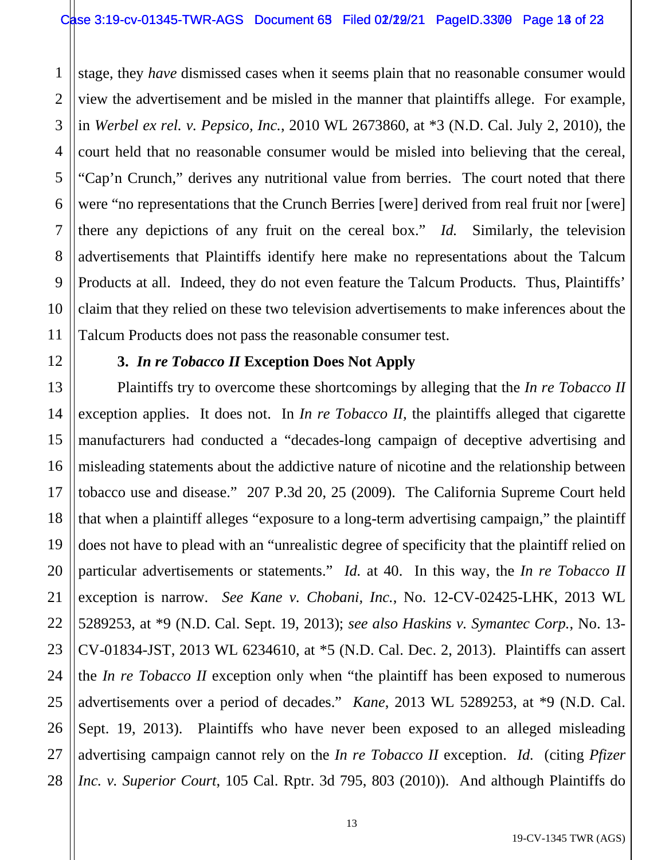1 2 3 4 stage, they *have* dismissed cases when it seems plain that no reasonable consumer would view the advertisement and be misled in the manner that plaintiffs allege. For example, in *Werbel ex rel. v. Pepsico, Inc.*, 2010 WL 2673860, at \*3 (N.D. Cal. July 2, 2010), the court held that no reasonable consumer would be misled into believing that the cereal, "Cap'n Crunch," derives any nutritional value from berries. The court noted that there were "no representations that the Crunch Berries [were] derived from real fruit nor [were] there any depictions of any fruit on the cereal box." *Id.* Similarly, the television advertisements that Plaintiffs identify here make no representations about the Talcum Products at all. Indeed, they do not even feature the Talcum Products. Thus, Plaintiffs' claim that they relied on these two television advertisements to make inferences about the Talcum Products does not pass the reasonable consumer test.

## **3.** *In re Tobacco II* **Exception Does Not Apply**

Plaintiffs try to overcome these shortcomings by alleging that the *In re Tobacco II*  exception applies. It does not. In *In re Tobacco II,* the plaintiffs alleged that cigarette manufacturers had conducted a "decades-long campaign of deceptive advertising and misleading statements about the addictive nature of nicotine and the relationship between tobacco use and disease." 207 P.3d 20, 25 (2009). The California Supreme Court held that when a plaintiff alleges "exposure to a long-term advertising campaign," the plaintiff does not have to plead with an "unrealistic degree of specificity that the plaintiff relied on particular advertisements or statements." *Id.* at 40. In this way, the *In re Tobacco II* exception is narrow. *See Kane v. Chobani, Inc.*, No. 12-CV-02425-LHK, 2013 WL 5289253, at \*9 (N.D. Cal. Sept. 19, 2013); *see also Haskins v. Symantec Corp.*, No. 13- CV-01834-JST, 2013 WL 6234610, at \*5 (N.D. Cal. Dec. 2, 2013). Plaintiffs can assert the *In re Tobacco II* exception only when "the plaintiff has been exposed to numerous advertisements over a period of decades." *Kane*, 2013 WL 5289253, at \*9 (N.D. Cal. Sept. 19, 2013). Plaintiffs who have never been exposed to an alleged misleading advertising campaign cannot rely on the *In re Tobacco II* exception. *Id.* (citing *Pfizer Inc. v. Superior Court*, 105 Cal. Rptr. 3d 795, 803 (2010)). And although Plaintiffs do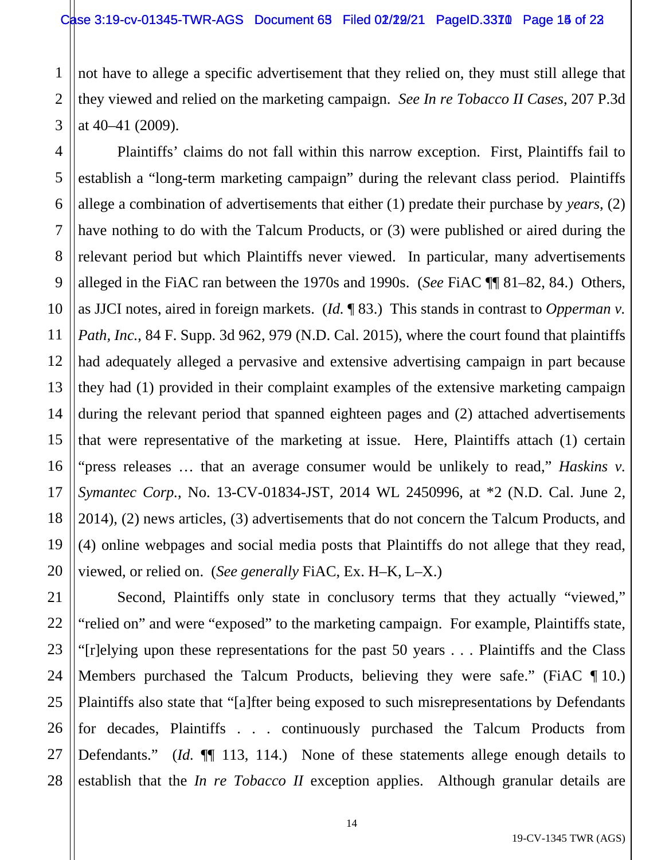1 2 3 not have to allege a specific advertisement that they relied on, they must still allege that they viewed and relied on the marketing campaign. *See In re Tobacco II Cases*, 207 P.3d at 40–41 (2009).

4 5 6 7 8 9 10 11 12 13 14 15 16 17 18 19 20 Plaintiffs' claims do not fall within this narrow exception. First, Plaintiffs fail to establish a "long-term marketing campaign" during the relevant class period. Plaintiffs allege a combination of advertisements that either (1) predate their purchase by *years*, (2) have nothing to do with the Talcum Products, or (3) were published or aired during the relevant period but which Plaintiffs never viewed. In particular, many advertisements alleged in the FiAC ran between the 1970s and 1990s. (*See* FiAC ¶¶ 81–82, 84.) Others, as JJCI notes, aired in foreign markets. (*Id.* ¶ 83.) This stands in contrast to *Opperman v. Path, Inc.*, 84 F. Supp. 3d 962, 979 (N.D. Cal. 2015), where the court found that plaintiffs had adequately alleged a pervasive and extensive advertising campaign in part because they had (1) provided in their complaint examples of the extensive marketing campaign during the relevant period that spanned eighteen pages and (2) attached advertisements that were representative of the marketing at issue. Here, Plaintiffs attach (1) certain "press releases … that an average consumer would be unlikely to read," *Haskins v. Symantec Corp.*, No. 13-CV-01834-JST, 2014 WL 2450996, at \*2 (N.D. Cal. June 2, 2014), (2) news articles, (3) advertisements that do not concern the Talcum Products, and (4) online webpages and social media posts that Plaintiffs do not allege that they read, viewed, or relied on. (*See generally* FiAC, Ex. H–K, L–X.)

21 22 23 24 25 26 27 28 Second, Plaintiffs only state in conclusory terms that they actually "viewed," "relied on" and were "exposed" to the marketing campaign. For example, Plaintiffs state, "[r]elying upon these representations for the past 50 years . . . Plaintiffs and the Class Members purchased the Talcum Products, believing they were safe." (FiAC ¶ 10.) Plaintiffs also state that "[a]fter being exposed to such misrepresentations by Defendants for decades, Plaintiffs . . . continuously purchased the Talcum Products from Defendants." (*Id.*  $\P$  113, 114.) None of these statements allege enough details to establish that the *In re Tobacco II* exception applies. Although granular details are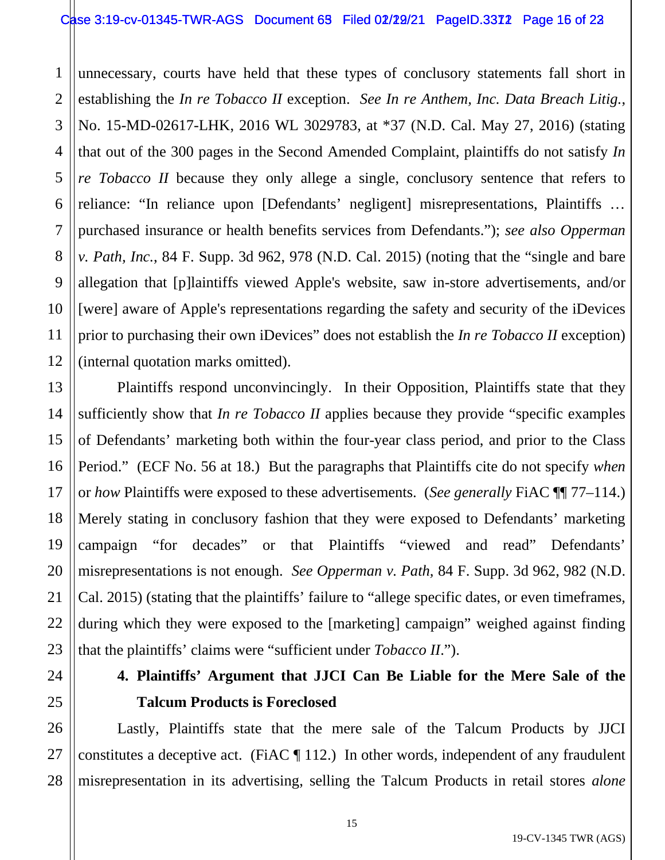#### Case 3:19-cv-01345-TWR-AGS Document  $65$  Filed 02/22/21 PageID.3372 Page 15 of 23

1 2 3 4 5 6 7 8 9 10 11 12 unnecessary, courts have held that these types of conclusory statements fall short in establishing the *In re Tobacco II* exception. *See In re Anthem, Inc. Data Breach Litig.*, No. 15-MD-02617-LHK, 2016 WL 3029783, at \*37 (N.D. Cal. May 27, 2016) (stating that out of the 300 pages in the Second Amended Complaint, plaintiffs do not satisfy *In re Tobacco II* because they only allege a single, conclusory sentence that refers to reliance: "In reliance upon [Defendants' negligent] misrepresentations, Plaintiffs … purchased insurance or health benefits services from Defendants."); *see also Opperman v. Path, Inc.*, 84 F. Supp. 3d 962, 978 (N.D. Cal. 2015) (noting that the "single and bare allegation that [p]laintiffs viewed Apple's website, saw in-store advertisements, and/or [were] aware of Apple's representations regarding the safety and security of the iDevices prior to purchasing their own iDevices" does not establish the *In re Tobacco II* exception) (internal quotation marks omitted).

14 16 20 Plaintiffs respond unconvincingly. In their Opposition, Plaintiffs state that they sufficiently show that *In re Tobacco II* applies because they provide "specific examples of Defendants' marketing both within the four-year class period, and prior to the Class Period." (ECF No. 56 at 18.) But the paragraphs that Plaintiffs cite do not specify *when* or *how* Plaintiffs were exposed to these advertisements. (*See generally* FiAC ¶¶ 77–114.) Merely stating in conclusory fashion that they were exposed to Defendants' marketing campaign "for decades" or that Plaintiffs "viewed and read" Defendants' misrepresentations is not enough. *See Opperman v. Path,* 84 F. Supp. 3d 962, 982 (N.D. Cal. 2015) (stating that the plaintiffs' failure to "allege specific dates, or even timeframes, during which they were exposed to the [marketing] campaign" weighed against finding that the plaintiffs' claims were "sufficient under *Tobacco II*.").

13

15

17

18

19

21

22

23

24

25

26

27

28

# **4. Plaintiffs' Argument that JJCI Can Be Liable for the Mere Sale of the Talcum Products is Foreclosed**

Lastly, Plaintiffs state that the mere sale of the Talcum Products by JJCI constitutes a deceptive act. (FiAC  $\P$  112.) In other words, independent of any fraudulent misrepresentation in its advertising, selling the Talcum Products in retail stores *alone*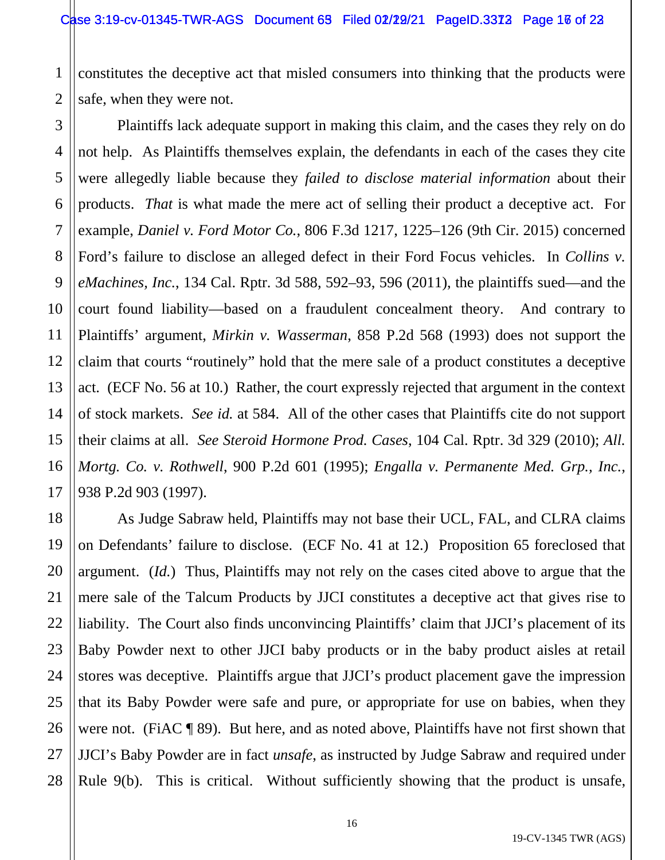1 2 constitutes the deceptive act that misled consumers into thinking that the products were safe, when they were not.

3 4 5 6 7 8 9 10 11 12 13 14 15 16 17 Plaintiffs lack adequate support in making this claim, and the cases they rely on do not help. As Plaintiffs themselves explain, the defendants in each of the cases they cite were allegedly liable because they *failed to disclose material information* about their products. *That* is what made the mere act of selling their product a deceptive act. For example, *Daniel v. Ford Motor Co.*, 806 F.3d 1217, 1225–126 (9th Cir. 2015) concerned Ford's failure to disclose an alleged defect in their Ford Focus vehicles. In *Collins v. eMachines, Inc.*, 134 Cal. Rptr. 3d 588, 592–93, 596 (2011), the plaintiffs sued—and the court found liability—based on a fraudulent concealment theory. And contrary to Plaintiffs' argument, *Mirkin v. Wasserman*, 858 P.2d 568 (1993) does not support the claim that courts "routinely" hold that the mere sale of a product constitutes a deceptive act. (ECF No. 56 at 10.) Rather, the court expressly rejected that argument in the context of stock markets. *See id.* at 584. All of the other cases that Plaintiffs cite do not support their claims at all. *See Steroid Hormone Prod. Cases*, 104 Cal. Rptr. 3d 329 (2010); *All. Mortg. Co. v. Rothwell*, 900 P.2d 601 (1995); *Engalla v. Permanente Med. Grp., Inc.*, 938 P.2d 903 (1997).

18 19 20 21 22 23 24 25 26 27 28 As Judge Sabraw held, Plaintiffs may not base their UCL, FAL, and CLRA claims on Defendants' failure to disclose. (ECF No. 41 at 12.) Proposition 65 foreclosed that argument. (*Id.*) Thus, Plaintiffs may not rely on the cases cited above to argue that the mere sale of the Talcum Products by JJCI constitutes a deceptive act that gives rise to liability. The Court also finds unconvincing Plaintiffs' claim that JJCI's placement of its Baby Powder next to other JJCI baby products or in the baby product aisles at retail stores was deceptive. Plaintiffs argue that JJCI's product placement gave the impression that its Baby Powder were safe and pure, or appropriate for use on babies, when they were not. (FiAC ¶ 89). But here, and as noted above, Plaintiffs have not first shown that JJCI's Baby Powder are in fact *unsafe*, as instructed by Judge Sabraw and required under Rule 9(b). This is critical. Without sufficiently showing that the product is unsafe,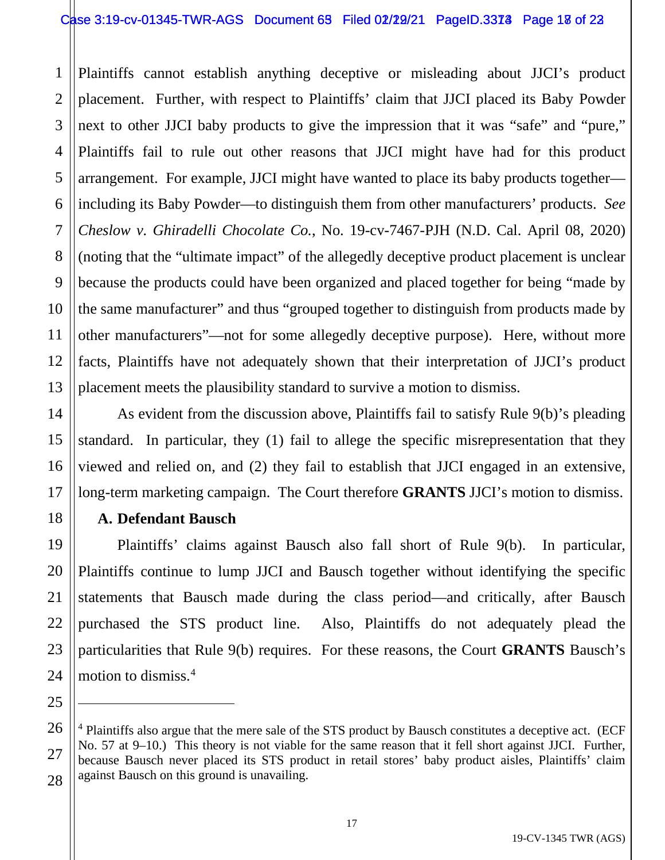#### Case 3:19-cv-01345-TWR-AGS Document 63 Filed 02/22/21 PageID.3373 Page 18 of 23

1 2 3 4 5 6 7 8 9 10 11 12 13 Plaintiffs cannot establish anything deceptive or misleading about JJCI's product placement. Further, with respect to Plaintiffs' claim that JJCI placed its Baby Powder next to other JJCI baby products to give the impression that it was "safe" and "pure," Plaintiffs fail to rule out other reasons that JJCI might have had for this product arrangement. For example, JJCI might have wanted to place its baby products together including its Baby Powder—to distinguish them from other manufacturers' products. *See Cheslow v. Ghiradelli Chocolate Co.*, No. 19-cv-7467-PJH (N.D. Cal. April 08, 2020) (noting that the "ultimate impact" of the allegedly deceptive product placement is unclear because the products could have been organized and placed together for being "made by the same manufacturer" and thus "grouped together to distinguish from products made by other manufacturers"—not for some allegedly deceptive purpose). Here, without more facts, Plaintiffs have not adequately shown that their interpretation of JJCI's product placement meets the plausibility standard to survive a motion to dismiss.

As evident from the discussion above, Plaintiffs fail to satisfy Rule 9(b)'s pleading standard. In particular, they (1) fail to allege the specific misrepresentation that they viewed and relied on, and (2) they fail to establish that JJCI engaged in an extensive, long-term marketing campaign. The Court therefore **GRANTS** JJCI's motion to dismiss.

## **A. Defendant Bausch**

14

15

16

17

18

19

20

21

22

23

24

25

27

Plaintiffs' claims against Bausch also fall short of Rule 9(b). In particular, Plaintiffs continue to lump JJCI and Bausch together without identifying the specific statements that Bausch made during the class period—and critically, after Bausch purchased the STS product line. Also, Plaintiffs do not adequately plead the particularities that Rule 9(b) requires. For these reasons, the Court **GRANTS** Bausch's motion to dismiss.4

<sup>26</sup> 28 <sup>4</sup> Plaintiffs also argue that the mere sale of the STS product by Bausch constitutes a deceptive act. (ECF No. 57 at 9–10.) This theory is not viable for the same reason that it fell short against JJCI. Further, because Bausch never placed its STS product in retail stores' baby product aisles, Plaintiffs' claim against Bausch on this ground is unavailing.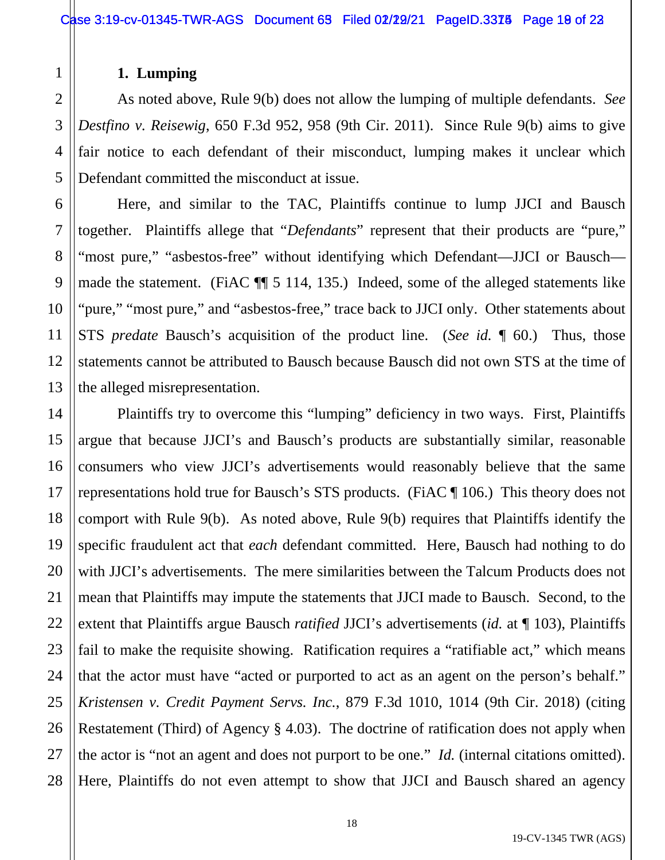# **1. Lumping**

As noted above, Rule 9(b) does not allow the lumping of multiple defendants. *See Destfino v. Reisewig*, 650 F.3d 952, 958 (9th Cir. 2011). Since Rule 9(b) aims to give fair notice to each defendant of their misconduct, lumping makes it unclear which Defendant committed the misconduct at issue.

Here, and similar to the TAC, Plaintiffs continue to lump JJCI and Bausch together. Plaintiffs allege that "*Defendants*" represent that their products are "pure," "most pure," "asbestos-free" without identifying which Defendant—JJCI or Bausch made the statement. (FiAC ¶¶ 5 114, 135.) Indeed, some of the alleged statements like "pure," "most pure," and "asbestos-free," trace back to JJCI only. Other statements about STS *predate* Bausch's acquisition of the product line. (*See id.* ¶ 60.) Thus, those statements cannot be attributed to Bausch because Bausch did not own STS at the time of the alleged misrepresentation.

Plaintiffs try to overcome this "lumping" deficiency in two ways. First, Plaintiffs argue that because JJCI's and Bausch's products are substantially similar, reasonable consumers who view JJCI's advertisements would reasonably believe that the same representations hold true for Bausch's STS products. (FiAC ¶ 106.) This theory does not comport with Rule 9(b). As noted above, Rule 9(b) requires that Plaintiffs identify the specific fraudulent act that *each* defendant committed. Here, Bausch had nothing to do with JJCI's advertisements. The mere similarities between the Talcum Products does not mean that Plaintiffs may impute the statements that JJCI made to Bausch. Second, to the extent that Plaintiffs argue Bausch *ratified* JJCI's advertisements (*id.* at ¶ 103), Plaintiffs fail to make the requisite showing. Ratification requires a "ratifiable act," which means that the actor must have "acted or purported to act as an agent on the person's behalf." *Kristensen v. Credit Payment Servs. Inc.*, 879 F.3d 1010, 1014 (9th Cir. 2018) (citing Restatement (Third) of Agency § 4.03). The doctrine of ratification does not apply when the actor is "not an agent and does not purport to be one." *Id.* (internal citations omitted). Here, Plaintiffs do not even attempt to show that JJCI and Bausch shared an agency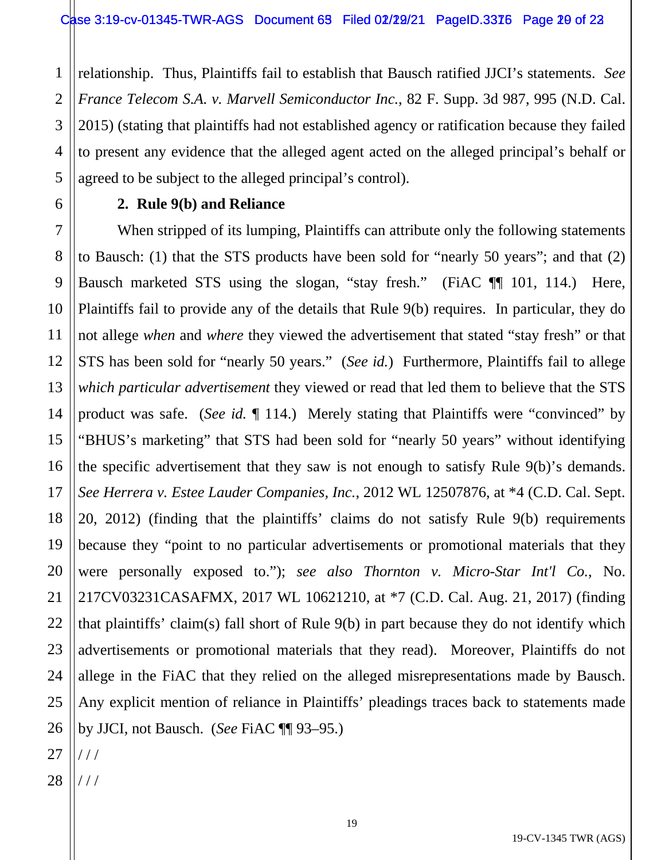1 2 3 4 5 relationship. Thus, Plaintiffs fail to establish that Bausch ratified JJCI's statements. *See France Telecom S.A. v. Marvell Semiconductor Inc.*, 82 F. Supp. 3d 987, 995 (N.D. Cal. 2015) (stating that plaintiffs had not established agency or ratification because they failed to present any evidence that the alleged agent acted on the alleged principal's behalf or agreed to be subject to the alleged principal's control).

## **2. Rule 9(b) and Reliance**

7 8 9 10 11 12 13 14 15 16 17 18 19 20 21 22 23 24 25 When stripped of its lumping, Plaintiffs can attribute only the following statements to Bausch: (1) that the STS products have been sold for "nearly 50 years"; and that (2) Bausch marketed STS using the slogan, "stay fresh." (FiAC ¶¶ 101, 114.) Here, Plaintiffs fail to provide any of the details that Rule 9(b) requires. In particular, they do not allege *when* and *where* they viewed the advertisement that stated "stay fresh" or that STS has been sold for "nearly 50 years." (*See id.*) Furthermore, Plaintiffs fail to allege *which particular advertisement* they viewed or read that led them to believe that the STS product was safe. (*See id.* ¶ 114.) Merely stating that Plaintiffs were "convinced" by "BHUS's marketing" that STS had been sold for "nearly 50 years" without identifying the specific advertisement that they saw is not enough to satisfy Rule 9(b)'s demands. *See Herrera v. Estee Lauder Companies, Inc.*, 2012 WL 12507876, at \*4 (C.D. Cal. Sept. 20, 2012) (finding that the plaintiffs' claims do not satisfy Rule 9(b) requirements because they "point to no particular advertisements or promotional materials that they were personally exposed to."); *see also Thornton v. Micro-Star Int'l Co.*, No. 217CV03231CASAFMX, 2017 WL 10621210, at \*7 (C.D. Cal. Aug. 21, 2017) (finding that plaintiffs' claim(s) fall short of Rule 9(b) in part because they do not identify which advertisements or promotional materials that they read). Moreover, Plaintiffs do not allege in the FiAC that they relied on the alleged misrepresentations made by Bausch. Any explicit mention of reliance in Plaintiffs' pleadings traces back to statements made by JJCI, not Bausch. (*See* FiAC ¶¶ 93–95.)

6

28 / / /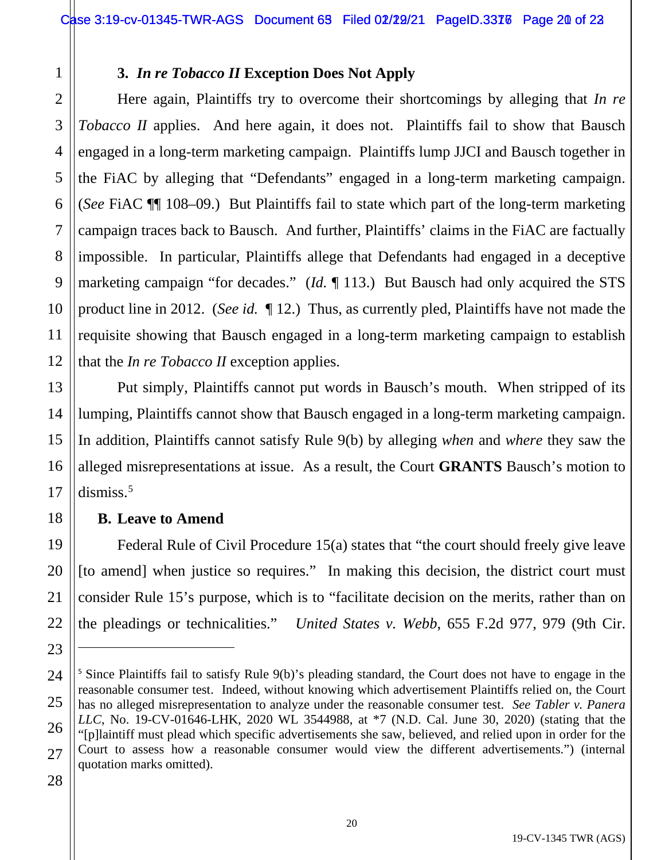# **3.** *In re Tobacco II* **Exception Does Not Apply**

Here again, Plaintiffs try to overcome their shortcomings by alleging that *In re Tobacco II* applies. And here again, it does not. Plaintiffs fail to show that Bausch engaged in a long-term marketing campaign. Plaintiffs lump JJCI and Bausch together in the FiAC by alleging that "Defendants" engaged in a long-term marketing campaign. (*See* FiAC ¶¶ 108–09.) But Plaintiffs fail to state which part of the long-term marketing campaign traces back to Bausch. And further, Plaintiffs' claims in the FiAC are factually impossible. In particular, Plaintiffs allege that Defendants had engaged in a deceptive marketing campaign "for decades." (*Id.* ¶ 113.) But Bausch had only acquired the STS product line in 2012. (*See id.* ¶ 12.) Thus, as currently pled, Plaintiffs have not made the requisite showing that Bausch engaged in a long-term marketing campaign to establish that the *In re Tobacco II* exception applies.

Put simply, Plaintiffs cannot put words in Bausch's mouth. When stripped of its lumping, Plaintiffs cannot show that Bausch engaged in a long-term marketing campaign. In addition, Plaintiffs cannot satisfy Rule 9(b) by alleging *when* and *where* they saw the alleged misrepresentations at issue. As a result, the Court **GRANTS** Bausch's motion to  $dismiss.<sup>5</sup>$ 

## **B. Leave to Amend**

Federal Rule of Civil Procedure 15(a) states that "the court should freely give leave [to amend] when justice so requires." In making this decision, the district court must consider Rule 15's purpose, which is to "facilitate decision on the merits, rather than on the pleadings or technicalities." *United States v. Webb*, 655 F.2d 977, 979 (9th Cir.

28

1

2

3

4

5

6

7

8

9

10

11

12

13

14

15

16

17

18

19

20

21

22

<sup>24</sup> 25 26 27 <sup>5</sup> Since Plaintiffs fail to satisfy Rule 9(b)'s pleading standard, the Court does not have to engage in the reasonable consumer test. Indeed, without knowing which advertisement Plaintiffs relied on, the Court has no alleged misrepresentation to analyze under the reasonable consumer test. *See Tabler v. Panera LLC*, No. 19-CV-01646-LHK, 2020 WL 3544988, at \*7 (N.D. Cal. June 30, 2020) (stating that the "[p]laintiff must plead which specific advertisements she saw, believed, and relied upon in order for the Court to assess how a reasonable consumer would view the different advertisements.") (internal quotation marks omitted).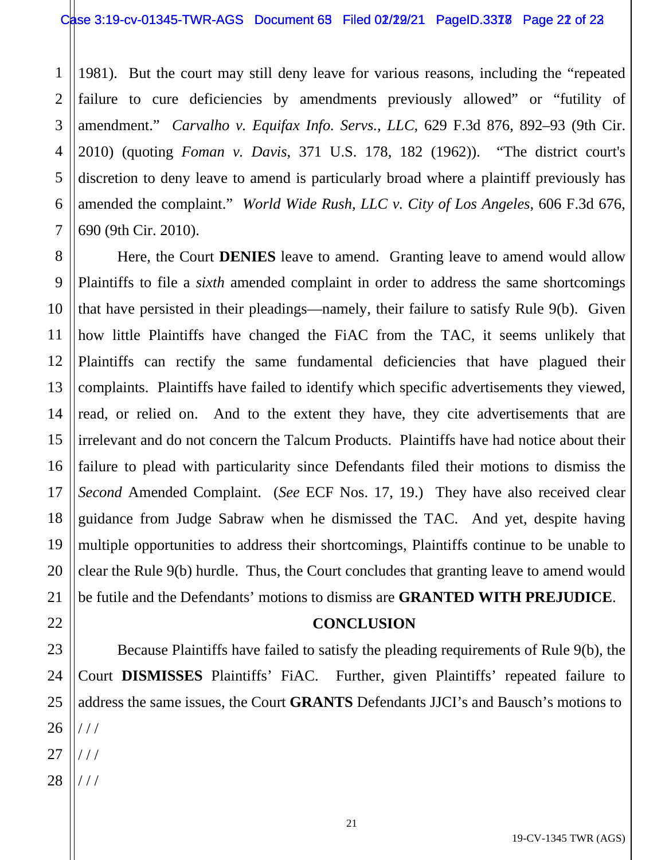1 2 3 4 5 6 7 1981). But the court may still deny leave for various reasons, including the "repeated failure to cure deficiencies by amendments previously allowed" or "futility of amendment." *Carvalho v. Equifax Info. Servs., LLC*, 629 F.3d 876, 892–93 (9th Cir. 2010) (quoting *Foman v. Davis*, 371 U.S. 178, 182 (1962)). "The district court's discretion to deny leave to amend is particularly broad where a plaintiff previously has amended the complaint." *World Wide Rush, LLC v. City of Los Angeles*, 606 F.3d 676, 690 (9th Cir. 2010).

8 9 10 11 12 13 14 15 16 17 18 19 20 21 Here, the Court **DENIES** leave to amend. Granting leave to amend would allow Plaintiffs to file a *sixth* amended complaint in order to address the same shortcomings that have persisted in their pleadings—namely, their failure to satisfy Rule 9(b). Given how little Plaintiffs have changed the FiAC from the TAC, it seems unlikely that Plaintiffs can rectify the same fundamental deficiencies that have plagued their complaints. Plaintiffs have failed to identify which specific advertisements they viewed, read, or relied on. And to the extent they have, they cite advertisements that are irrelevant and do not concern the Talcum Products. Plaintiffs have had notice about their failure to plead with particularity since Defendants filed their motions to dismiss the *Second* Amended Complaint. (*See* ECF Nos. 17, 19.) They have also received clear guidance from Judge Sabraw when he dismissed the TAC. And yet, despite having multiple opportunities to address their shortcomings, Plaintiffs continue to be unable to clear the Rule 9(b) hurdle. Thus, the Court concludes that granting leave to amend would be futile and the Defendants' motions to dismiss are **GRANTED WITH PREJUDICE**.

## **CONCLUSION**

Because Plaintiffs have failed to satisfy the pleading requirements of Rule 9(b), the Court **DISMISSES** Plaintiffs' FiAC. Further, given Plaintiffs' repeated failure to address the same issues, the Court **GRANTS** Defendants JJCI's and Bausch's motions to / / / / / /

28 / / /

22

23

24

25

26